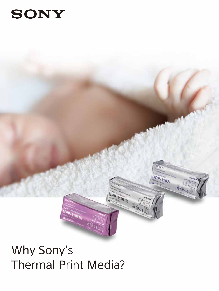# **SONY**



# Why Sony's Thermal Print Media?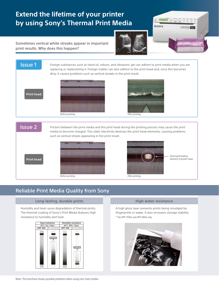## **Extend the lifetime of your printer by using Sony's Thermal Print Media**



Sometimes vertical white streaks appear in important print results. Why does this happen?



## Reliable Print Media Quality from Sony

#### Long-lasting, durable prints

Humidity and heat cause degradation of thermal prints. The thermal coating of Sony's Print Media features high resistance to humidity and heat.



#### High water resistance

A high gloss layer prevents prints being smudged by fingerprints or water. It also increases storage stability. \* The UPP-110HG and UPP-84HG only.

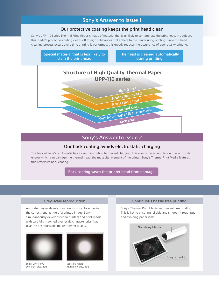### Sony's Answer to Issue 1

#### Our protective coating keeps the print head clean

Sony's UPP-110 Series Thermal Print Media is made of material that is unlikely to contaminate the print head. In addition, this media's protective coating cleans off foreign substances that adhere to the head during printing. Since this head cleaning process occurs every time printing is performed, this greatly reduces the occurrence of poor quality printing.



## Sony's Answer to Issue 2

#### Our back coating avoids electrostatic charging

The back of Sony's print media has a very thin coating to prevent charging. This avoids the accumulation of electrostatic energy which can damage the thermal head, the most vital element of the printer. Sony's Thermal Print Media features this protective back coating.

Back coating saves the printer head from damage

#### Grey-scale reproduction

Accurate grey-scale reproduction is critical to achieving the correct tonal range of a printed image. Sony simultaneously develops video printers and print media with carefully matched grey-scale characteristics that give the best possible image transfer quality.



Sony's UPP-110HG with wider gradations



Non-Sony media with narrow gradations

#### Continuous hassle free printing

Sony's Thermal Print Media features minimal curling. This is key to ensuring reliable and smooth throughput and avoiding paper jams.